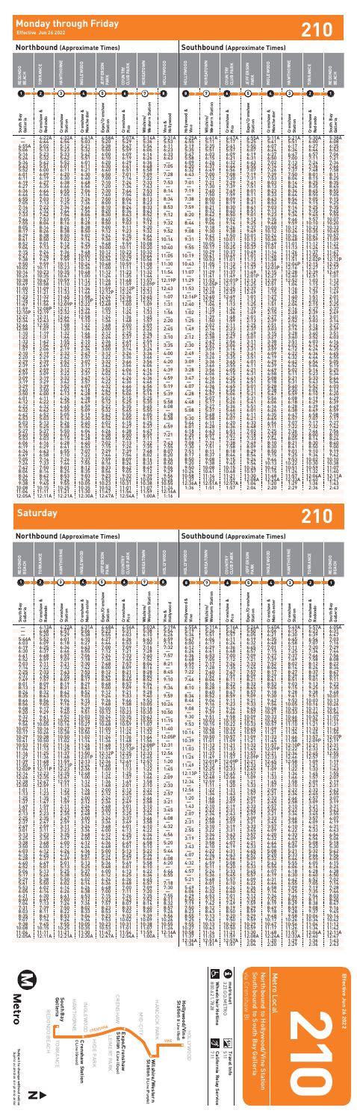# **Monday through Friday**<br>
Effective Jun 26 2022<br> **Effective Jun 26 2022**

|                                                                                                                                                                                                                                                                                                                                                                                                                                                                                                                                                                                                                                                                                                                                                                                                            |                                                                                                                                                                                                                                                                                                                                                                                                                                                                                                                                                                                                                                                                                                                                                                                                                                                                  |                                                                                                                                                                                                                                                                                                                                                                                                                                                                                                                                                                                                                                                                                                                                                                                                                                  |                                                                                                                                                                                                                                                                                                                                                                                                                                                                                                                                                                                                                                                                                                                                                                                                                                                             | <b>Northbound (Approximate Times)</b>                                                                                                                                                                                                                                                                                                                                                                                                                                                                                                                                                                                                                                                                                                                                                                                                                                                                                                                         |                                                                                                                                                                                                                                                                                                                                                                                                                                                                                                                                                                                                                                                                                                                                                                        |                                                                                                                                                                                                                                                                                                                                                                                                                                                                                                                                                                                                                                                                                                                                                                                                                                                                |                                                                                                                                                                                                                                                                                                                                                                                                                                                                                 |                                                                                                                                                                                                                                                                                                                                                                                                                                                                                             | <b>Southbound (Approximate Times)</b>                                                                                                                                                                                                                                                                                                                                                                                                                                                                                                                                                                                                                                                                                                                                                                                                                                                                  |                                                                                                                                                                                                                                                                                                                                                                                                                                                                                                                                                                                                                                                                                                                                                                                                                                |                                                                                                                                                                                                                                                                                                                                                                                                                                                                                                                                                                                                                                                                                                                                                                                                                                                                                         |                                                                                                                                                                                                                                                                                                                                                                                                                                                                                                                                                                                                                                                                                                                                                                                                                                                                          |                                                                                                                                                                                                                                                                                                                                                                                                                                                                                                                                                                                                                                                                                                                                                                                                                                                      |                                                                                                                                                                                                                                                                                                                                                                                                                                                                                                                                                                                                                                       |                                                                                                                                                                                                                                                                                                                                                                                                                                                                                                                                                                                                                       |
|------------------------------------------------------------------------------------------------------------------------------------------------------------------------------------------------------------------------------------------------------------------------------------------------------------------------------------------------------------------------------------------------------------------------------------------------------------------------------------------------------------------------------------------------------------------------------------------------------------------------------------------------------------------------------------------------------------------------------------------------------------------------------------------------------------|------------------------------------------------------------------------------------------------------------------------------------------------------------------------------------------------------------------------------------------------------------------------------------------------------------------------------------------------------------------------------------------------------------------------------------------------------------------------------------------------------------------------------------------------------------------------------------------------------------------------------------------------------------------------------------------------------------------------------------------------------------------------------------------------------------------------------------------------------------------|----------------------------------------------------------------------------------------------------------------------------------------------------------------------------------------------------------------------------------------------------------------------------------------------------------------------------------------------------------------------------------------------------------------------------------------------------------------------------------------------------------------------------------------------------------------------------------------------------------------------------------------------------------------------------------------------------------------------------------------------------------------------------------------------------------------------------------|-------------------------------------------------------------------------------------------------------------------------------------------------------------------------------------------------------------------------------------------------------------------------------------------------------------------------------------------------------------------------------------------------------------------------------------------------------------------------------------------------------------------------------------------------------------------------------------------------------------------------------------------------------------------------------------------------------------------------------------------------------------------------------------------------------------------------------------------------------------|---------------------------------------------------------------------------------------------------------------------------------------------------------------------------------------------------------------------------------------------------------------------------------------------------------------------------------------------------------------------------------------------------------------------------------------------------------------------------------------------------------------------------------------------------------------------------------------------------------------------------------------------------------------------------------------------------------------------------------------------------------------------------------------------------------------------------------------------------------------------------------------------------------------------------------------------------------------|------------------------------------------------------------------------------------------------------------------------------------------------------------------------------------------------------------------------------------------------------------------------------------------------------------------------------------------------------------------------------------------------------------------------------------------------------------------------------------------------------------------------------------------------------------------------------------------------------------------------------------------------------------------------------------------------------------------------------------------------------------------------|----------------------------------------------------------------------------------------------------------------------------------------------------------------------------------------------------------------------------------------------------------------------------------------------------------------------------------------------------------------------------------------------------------------------------------------------------------------------------------------------------------------------------------------------------------------------------------------------------------------------------------------------------------------------------------------------------------------------------------------------------------------------------------------------------------------------------------------------------------------|---------------------------------------------------------------------------------------------------------------------------------------------------------------------------------------------------------------------------------------------------------------------------------------------------------------------------------------------------------------------------------------------------------------------------------------------------------------------------------|---------------------------------------------------------------------------------------------------------------------------------------------------------------------------------------------------------------------------------------------------------------------------------------------------------------------------------------------------------------------------------------------------------------------------------------------------------------------------------------------|--------------------------------------------------------------------------------------------------------------------------------------------------------------------------------------------------------------------------------------------------------------------------------------------------------------------------------------------------------------------------------------------------------------------------------------------------------------------------------------------------------------------------------------------------------------------------------------------------------------------------------------------------------------------------------------------------------------------------------------------------------------------------------------------------------------------------------------------------------------------------------------------------------|--------------------------------------------------------------------------------------------------------------------------------------------------------------------------------------------------------------------------------------------------------------------------------------------------------------------------------------------------------------------------------------------------------------------------------------------------------------------------------------------------------------------------------------------------------------------------------------------------------------------------------------------------------------------------------------------------------------------------------------------------------------------------------------------------------------------------------|-----------------------------------------------------------------------------------------------------------------------------------------------------------------------------------------------------------------------------------------------------------------------------------------------------------------------------------------------------------------------------------------------------------------------------------------------------------------------------------------------------------------------------------------------------------------------------------------------------------------------------------------------------------------------------------------------------------------------------------------------------------------------------------------------------------------------------------------------------------------------------------------|--------------------------------------------------------------------------------------------------------------------------------------------------------------------------------------------------------------------------------------------------------------------------------------------------------------------------------------------------------------------------------------------------------------------------------------------------------------------------------------------------------------------------------------------------------------------------------------------------------------------------------------------------------------------------------------------------------------------------------------------------------------------------------------------------------------------------------------------------------------------------|------------------------------------------------------------------------------------------------------------------------------------------------------------------------------------------------------------------------------------------------------------------------------------------------------------------------------------------------------------------------------------------------------------------------------------------------------------------------------------------------------------------------------------------------------------------------------------------------------------------------------------------------------------------------------------------------------------------------------------------------------------------------------------------------------------------------------------------------------|---------------------------------------------------------------------------------------------------------------------------------------------------------------------------------------------------------------------------------------------------------------------------------------------------------------------------------------------------------------------------------------------------------------------------------------------------------------------------------------------------------------------------------------------------------------------------------------------------------------------------------------|-----------------------------------------------------------------------------------------------------------------------------------------------------------------------------------------------------------------------------------------------------------------------------------------------------------------------------------------------------------------------------------------------------------------------------------------------------------------------------------------------------------------------------------------------------------------------------------------------------------------------|
| Ξ<br><b>REDON</b><br>BEACH                                                                                                                                                                                                                                                                                                                                                                                                                                                                                                                                                                                                                                                                                                                                                                                 | 병<br><b>TORRAN</b>                                                                                                                                                                                                                                                                                                                                                                                                                                                                                                                                                                                                                                                                                                                                                                                                                                               | HAWTHORNE                                                                                                                                                                                                                                                                                                                                                                                                                                                                                                                                                                                                                                                                                                                                                                                                                        | EWOOD<br><b>TISK</b>                                                                                                                                                                                                                                                                                                                                                                                                                                                                                                                                                                                                                                                                                                                                                                                                                                        | <b>EFFERSON</b><br><b>PARK</b>                                                                                                                                                                                                                                                                                                                                                                                                                                                                                                                                                                                                                                                                                                                                                                                                                                                                                                                                | COUNTRY<br>CLUB PAF                                                                                                                                                                                                                                                                                                                                                                                                                                                                                                                                                                                                                                                                                                                                                    | KOREATOWN                                                                                                                                                                                                                                                                                                                                                                                                                                                                                                                                                                                                                                                                                                                                                                                                                                                      | <b>HOLLYWOOD</b>                                                                                                                                                                                                                                                                                                                                                                                                                                                                | NOOD<br>글                                                                                                                                                                                                                                                                                                                                                                                                                                                                                   | KOREATOWN                                                                                                                                                                                                                                                                                                                                                                                                                                                                                                                                                                                                                                                                                                                                                                                                                                                                                              | COUNTRY<br>CLUB PAR                                                                                                                                                                                                                                                                                                                                                                                                                                                                                                                                                                                                                                                                                                                                                                                                            | <b>JEFFERSON</b><br>PARK                                                                                                                                                                                                                                                                                                                                                                                                                                                                                                                                                                                                                                                                                                                                                                                                                                                                | EWOOL<br><b>LISK</b>                                                                                                                                                                                                                                                                                                                                                                                                                                                                                                                                                                                                                                                                                                                                                                                                                                                     | HAWTHORNE                                                                                                                                                                                                                                                                                                                                                                                                                                                                                                                                                                                                                                                                                                                                                                                                                                            | TORRANCE                                                                                                                                                                                                                                                                                                                                                                                                                                                                                                                                                                                                                              | REDON<br>BEACH                                                                                                                                                                                                                                                                                                                                                                                                                                                                                                                                                                                                        |
| O                                                                                                                                                                                                                                                                                                                                                                                                                                                                                                                                                                                                                                                                                                                                                                                                          | 0                                                                                                                                                                                                                                                                                                                                                                                                                                                                                                                                                                                                                                                                                                                                                                                                                                                                | $^\copyright$                                                                                                                                                                                                                                                                                                                                                                                                                                                                                                                                                                                                                                                                                                                                                                                                                    | Ø                                                                                                                                                                                                                                                                                                                                                                                                                                                                                                                                                                                                                                                                                                                                                                                                                                                           | ⑤                                                                                                                                                                                                                                                                                                                                                                                                                                                                                                                                                                                                                                                                                                                                                                                                                                                                                                                                                             | 0                                                                                                                                                                                                                                                                                                                                                                                                                                                                                                                                                                                                                                                                                                                                                                      | $\odot$                                                                                                                                                                                                                                                                                                                                                                                                                                                                                                                                                                                                                                                                                                                                                                                                                                                        | $\bullet$                                                                                                                                                                                                                                                                                                                                                                                                                                                                       | O                                                                                                                                                                                                                                                                                                                                                                                                                                                                                           | $^\copyright$                                                                                                                                                                                                                                                                                                                                                                                                                                                                                                                                                                                                                                                                                                                                                                                                                                                                                          | O                                                                                                                                                                                                                                                                                                                                                                                                                                                                                                                                                                                                                                                                                                                                                                                                                              | ⑤                                                                                                                                                                                                                                                                                                                                                                                                                                                                                                                                                                                                                                                                                                                                                                                                                                                                                       | Ø                                                                                                                                                                                                                                                                                                                                                                                                                                                                                                                                                                                                                                                                                                                                                                                                                                                                        | $\overline{\textcircled{\scriptsize{3}}}$                                                                                                                                                                                                                                                                                                                                                                                                                                                                                                                                                                                                                                                                                                                                                                                                            | 0                                                                                                                                                                                                                                                                                                                                                                                                                                                                                                                                                                                                                                     | $\mathbf 0$                                                                                                                                                                                                                                                                                                                                                                                                                                                                                                                                                                                                           |
| South Bay<br>Galleria                                                                                                                                                                                                                                                                                                                                                                                                                                                                                                                                                                                                                                                                                                                                                                                      | ఱ<br>Crenshaw<br>Redondo<br>4:22A                                                                                                                                                                                                                                                                                                                                                                                                                                                                                                                                                                                                                                                                                                                                                                                                                                | Crenshaw<br>Station                                                                                                                                                                                                                                                                                                                                                                                                                                                                                                                                                                                                                                                                                                                                                                                                              | Crenshaw &<br>Manchester<br>4:41A                                                                                                                                                                                                                                                                                                                                                                                                                                                                                                                                                                                                                                                                                                                                                                                                                           | Expo/Crenshaw<br>Station                                                                                                                                                                                                                                                                                                                                                                                                                                                                                                                                                                                                                                                                                                                                                                                                                                                                                                                                      | త<br>Crenshaw &<br>Pico<br>5:07A                                                                                                                                                                                                                                                                                                                                                                                                                                                                                                                                                                                                                                                                                                                                       | Wilshire/<br>Western Station<br>5:14A                                                                                                                                                                                                                                                                                                                                                                                                                                                                                                                                                                                                                                                                                                                                                                                                                          | Hollywood<br>త<br>Vine<br>><br>5:31A                                                                                                                                                                                                                                                                                                                                                                                                                                            | త<br>Hollywood 8<br>Vine                                                                                                                                                                                                                                                                                                                                                                                                                                                                    | Station<br>Wilshire <sub>)</sub><br>Western                                                                                                                                                                                                                                                                                                                                                                                                                                                                                                                                                                                                                                                                                                                                                                                                                                                            | త<br>Crenshaw &<br>Pico                                                                                                                                                                                                                                                                                                                                                                                                                                                                                                                                                                                                                                                                                                                                                                                                        | Expo/Crenshaw<br>Station<br>4:55A                                                                                                                                                                                                                                                                                                                                                                                                                                                                                                                                                                                                                                                                                                                                                                                                                                                       | త<br>Manchester<br>Crenshaw<br>5:11A                                                                                                                                                                                                                                                                                                                                                                                                                                                                                                                                                                                                                                                                                                                                                                                                                                     | Crenshaw<br>Station                                                                                                                                                                                                                                                                                                                                                                                                                                                                                                                                                                                                                                                                                                                                                                                                                                  | త<br>Crenshaw<br>Redondo<br>5:30A                                                                                                                                                                                                                                                                                                                                                                                                                                                                                                                                                                                                     | South Bay<br>Galleria                                                                                                                                                                                                                                                                                                                                                                                                                                                                                                                                                                                                 |
| $4:55A$<br>$5:06$<br>5:16<br>5:24<br>5:24<br>5:34<br>5:52<br>5:52<br>$6:01$<br>$6:11$<br>$6:19$<br>6:27<br>6:46<br>6:55<br>7:05<br>7:14<br>7:23<br>7:33<br>$7:44$<br>$7:55$<br>$8:05$<br>$8:17$<br>$8:29$<br>$8:41$<br>$8:52$<br>$9:04$<br>$9:15$<br>$9:27$<br>$9:38$<br>$9:50$<br>10:02<br>10:14<br>10:26<br>10:38<br>10:47<br>11:12<br>11:35<br>11:47<br>11:35<br>11:47<br>12:22<br>12:22<br>12:32<br>$12:34$<br>$12:46$<br>$12:58$<br>$1:10$<br>$1:22$<br>$1:33$<br>1:45<br>$1:57$<br>$2:10$<br>$2:20$<br>$2:29$<br>$\frac{2:39}{2:49}$<br>2:59<br>3:09<br>3:19<br>3:29<br>3:40<br>3:50<br>4:01<br>4:12<br>$4:32$<br>$4:42$<br>4:53<br>5:03<br>5:15<br>5:27<br>$5:40$<br>$5:53$<br>6:06<br>6:19<br>6:34<br>6:49<br>$7:05$<br>$7:24$<br>7:42<br>8:06<br>8:34<br>9:06<br>9:38<br>10:08<br>11:04<br>12:05A | $4:44$<br>$5:02$<br>$5:13$<br>$5:23$<br>$5:32$<br>$5:42$<br>$5:51$<br>6:00<br>$6:09$<br>$6:19$<br>$6:27$<br>$6:35$<br>$6:44$<br>6:54<br>7:03<br>7:13<br>7:22<br>7:44<br>7:53<br>8:38<br>8:38<br>8:50<br>8:50<br>$9:01$<br>$9:13$<br>$9:24$<br>$\frac{9}{9}$<br>$\frac{36}{47}$<br>$9:59$<br>10:11<br>10:<br>$\frac{23}{35}$<br>10:<br>10 <sub>i</sub><br>10:58<br>$11:21$<br>$11:32$<br>$11:44$<br>$11:56$<br>$12:08P$<br>$12:19$<br>$12:31$<br>12:<br>$2:43$<br>$2:55$<br>$1:07$<br>12<br>$1:19$<br>$1:31$<br>1:42<br>1:54<br>$2:06$<br>2:19<br>$2:29$<br>$2:39$<br>$\frac{2:49}{2:59}$<br>3:09<br>3:19<br>3:29<br>3:39<br>3:50<br>4:00<br>4:11<br>$4:22$<br>$4:32$<br>$4:42$<br>$4:52$<br>5:03<br>5:13<br>$5:25$<br>$5:37$<br>5:50<br>6:03<br>6:16<br>6:29<br>6:43<br>$7:14$<br>$7:33$<br>7:50<br>8:14<br>8:42<br>$9:14$<br>$9:45$<br>10:15<br>11:11<br>12:11A | 4:32A<br>$4:54$<br>$5:12$<br>$5:23$<br>$5:33$<br>$5:42$<br>$5:52$<br>$6:01$<br>6:11<br>4:30<br>6:38<br>6:38<br>6:445<br>5:05<br>7:15<br>7:23<br>44<br>7:15<br>7:15<br>4<br>8:05<br>8:16<br>8:26<br>8:26<br>8:38<br>8:50<br>9:13<br>9:13<br>9:48<br>9:59<br>10:11<br>10:23<br>10:35<br>10:47<br>10:59<br>10:47<br>11:57<br>11:45<br>11:57<br>12:21<br>12:21<br>12:21<br>$12:32$<br>$12:44$<br>$12:56$<br>1:08<br>1:20<br>$1:32$<br>$1:44$<br>$1:55$<br>2:07<br>$\frac{2:19}{2:32}$<br>$2:42$<br>$2:52$<br>$\frac{3:02}{3:12}$<br>3:22<br>3:32<br>$3:42$<br>$3:52$<br>$4:03$<br>$4:13$<br>4:24<br>4:35<br>4:45<br>$4:55$<br>$5:05$<br>5:16<br>5:26<br>5:38<br>5:50<br>$6:03$<br>$6:15$<br>6:28<br>6:41<br>$6:55$<br>$7:10$<br>$7:26$<br>$7:44$<br>8:01<br>$8:25$<br>$8:53$<br>$9:24$<br>$9:55$<br>$10:25$<br>$11:21$<br>$12:21A$ : | $5:03$<br>$5:21$<br>$5:32$<br>$5:42$<br>$5:51$<br>$6:01$<br>$6:11$<br>$6:21$<br>$6:30$<br>$6:40$<br>$6:48$<br>6:56<br>7:06<br>7:16<br>7:36<br>7:46<br>7:56<br>8:06<br>8:17<br>$8:28$<br>$8:38$<br>8:50<br>9:14<br>9:25<br>:48<br>$10:00$<br>$10:12$<br>$10:24$<br>$10:36$<br>10:48<br>11:00<br>11:12<br>$\frac{11:25}{11:34}$<br>$\frac{11:46}{11:58}$<br>$12:10P$<br>$12:22$<br>$12:34$<br>$12:46$<br>$12:58$<br>$1:10$<br>$1:22$<br>$1:34$<br>$1:46$<br>$1:58$<br>$2:10$<br>$2:22$<br>$2:34$<br>$2:47$<br>$\frac{2:57}{3:07}$<br>3:17<br>$\frac{3:27}{3:37}$<br>$3:47$<br>$3:57$<br>$4:07$<br>4:18<br>4:28<br>4:38<br>$4:49$<br>$4:59$<br>$\frac{5:09}{5:19}$<br>5:30<br>$\frac{5:40}{5:52}$<br>6:04<br>$6:16$<br>$6:28$<br>$6:40$<br>$6:53$<br>$7:07$<br>$7:22$<br>$7:37$<br>$7:55$<br>8:12<br>8:35<br>9:03<br>9:34<br>10:05<br>10:35<br>11:30<br>12:30A | $4:58A$<br>$5:20$<br>$5:38$<br>$5:50$<br>$6:00$<br>$6:10$<br>$6:20$<br>$6:30$<br>$6:40$<br>$6:50$<br>$7:00$<br>$7:10$<br>$7:20$<br>$7:30$<br>$7:40$<br>$7:50$<br>$8:00$<br>$8:10$<br>$8:20$<br>$8:30$<br>8:40<br>8:50<br>9:00<br>9:12<br>9:24<br>9:36<br>9:48<br>9:48<br>10:00<br>10:24<br>10:36<br>10:48<br>11:00<br>11:12<br>11:27<br>$\frac{11:24}{11:36}$<br>11:48<br>$\begin{array}{l} 11:59 \\ 12:12P \\ 12:24 \\ 12:36 \\ 12:48 \\ 1:00 \\ 1:12 \end{array}$<br>1:24<br>$1:36$<br>$1:48$<br>$2:00$<br>$2:12$<br>$2:24$<br>$\begin{array}{c} 2.56 \\ 2.48 \\ 3.00 \\ 3.12 \end{array}$<br>12<br>$3:22$<br>$3:32$<br>$3:42$<br>$3:52$<br>4:02<br>$4:12$<br>$4:22$<br>$4:32$<br>$4:42$<br>$4:52$<br>5:02<br>$\frac{5:12}{5:22}$<br>$\frac{5:32}{5:42}$<br>5:52<br>6:02<br>6:14<br>6:26<br>6:38<br>6:50<br>7:02<br>7:15<br>7:29<br>7:44<br>7:59<br>8:16<br>8:33<br>$\begin{array}{r} 6336 \\ 8356 \\ 733 \\ 10:23 \\ 10:53 \\ 11:47 \end{array}$<br>12:47A | $5:29$<br>$5:47$<br>$5:59$<br>$6:09$<br>$6:19$<br>$6:29$<br>$6:41$<br>$6:51$<br>$7:01$<br>7:14<br>7:24<br>7:34<br>7:44<br>7:54<br>8:04<br>8:14<br>8:24<br>8:34<br>$8:34$<br>$8:43$<br>$\frac{1}{2}$ :53<br>8<br>9<br>9:11<br>$9:23$<br>$9:35$<br>$9:47$<br>9:10:110:3587911:23589224412:354511:12:3588922442:354512:244800<br>$1:24$<br>$1:24$<br>$1:36$<br>1:48<br>$\frac{2:00}{2:13}$<br>2:25<br>2:37<br>2:49<br>3:01<br>$3:14$<br>$3:26$<br>3:36<br>3:46<br>3:56<br>4:06<br>4:16<br>4:26<br>4:36<br>4:46<br>4:56<br>5:06<br>5:15<br>$5:25$<br>$5:35$<br>$5:45$<br>$5:55$<br>6:05<br>$6:15$<br>$6:27$<br>6:38<br>$6:50$<br>$7:02$<br>7:13<br>$7:26$<br>$7:39$<br>$7:54$<br>8:09<br>8:26<br>8:42<br>9:05<br>9:32<br>10:02<br>$\frac{10:31}{11:01}$<br>11:54<br>12:54A | $\frac{5:36}{5:54}$<br>$6:16$<br>$6:26$<br>$6:36$<br>$6:48$<br>$6:58$<br>$7:09$<br>$7:22$<br>$7:33$<br>$7:43$<br>$7:53$<br>$8:03$<br>$8:13$<br>$8:23$<br>$8:33$<br>$8:43$<br>$8:52$<br>$9:02$<br>$9:12$<br>9:20<br>9:32<br>9:44<br>9:56<br>$\begin{array}{c} 10.08 \\ 10.20 \\ 10.32 \end{array}$<br>$10:44$<br>$10:56$<br>$11:08$<br>$11:20$<br>$11:32$<br>$\frac{11:44}{11:57}$<br>12:21<br>12:33<br>12:45<br>12:57<br>1:09<br>$\frac{1:21}{1:33}$<br>$1:45$<br>$1:57$<br>$2:09$<br>$2:22$<br>2:34<br>2:47<br>2:59<br>3:11<br>3<br>:36<br>$3:46$<br>$3:56$<br>4:06<br>4:16<br>4:26<br>4:36<br>$4:46$<br>$4:56$<br>5:06<br>5:16<br>5:25<br>5:35<br>5:45<br>5:55<br>$6:05$<br>$6:15$<br>$6:25$<br>$6:37$<br>$6:47$<br>$6:59$<br>$7:11$<br>7:22<br>$7:35$<br>$7:48$<br>8:02<br>$8:16$<br>$8:33$<br>$8:49$<br>$9:12$<br>9:39<br>10:09<br>10:38<br>11:59<br>1:00A | $5:53$<br>$6:11$<br>$6:23$<br>$6:33$<br>$6:43$<br>7:05<br>7:28<br>7:53<br>8:14<br>8:34<br>8:53<br>9:12<br>9:32<br>9:52<br>10:16<br>10:40<br>11:05<br>11:30<br>11:54<br>12:19P<br>12:43<br>1:07<br>1:31<br>1:56<br>2:20<br>2:45<br>3:10<br>3:35<br>4:00<br>4:20<br>4:39<br>4:59<br>5:19<br>5:39<br>5:58<br>6:08<br>$6:28$<br>$6:38$<br>6:59<br>7:21<br>7:43<br>7:55<br>8:07<br>8:20<br>$8:34$<br>$8:50$<br>9:06<br>9:29<br>9:56<br>$10:26$<br>$10:55$<br>11:24<br>12:16A<br>1:16 | 4:25A<br>$4:55$<br>$5:19$<br>$5:35$<br>5:47<br>5:58<br>6:09<br>6:20<br>6:32<br>6:43<br>7:01<br>7:19<br>7:38<br>7:59<br>8:20<br>8:44<br>9:08<br>9:31<br>9:55<br>10:19<br>10:43<br>11:07<br>11:29<br>11:53<br>12:16P<br>12:40<br>1:02<br>1:25<br>1:49<br>2:12<br>2:30<br>2:49<br>3:09<br>3:28<br>3:47<br>4:07<br>4:28<br>4:48<br>5:08<br>5:30<br>5:44<br>6:01<br>6:18<br>$6:35$<br>$6:51$<br>7:08<br>7:30<br>7:51<br>8:17<br>8:50<br>9:20<br>9:50<br>10:24<br>10:58<br>$\frac{11:37}{12:36A}$ | $4:41A$<br>$5:11$<br>$5:35$<br>$5:51$<br>$6:03$<br>$6:15$<br>$6:26$<br>$6:37$<br>$6:49$<br>$7:00$<br>$7:12$<br>$7:21$<br>$7:30$<br>$7:40$<br>7:50<br>00<br>8<br>$8:10$<br>$8:21$<br>$8:32$<br>$8:42$<br>$8:54$<br>$9:06$<br>$9:18$<br>9<br>$\frac{130}{142}$<br>9<br>$\begin{array}{c} 10:05 \\ 10:17 \\ 10:29 \end{array}$<br>$10:41$<br>$10:53$<br>$11:05$<br>$11:17$<br>$11:29$<br>11:41<br>11:53<br>12:05P<br>12:12:40<br>12:40<br>12:54<br>1:57<br>1:27<br>1:27<br>1:27<br>1:27<br>1:27<br>1:27<br>50<br>$2:02$<br>$2:14$<br>$\frac{26}{38}$<br>2:<br>.57<br>$\frac{3:07}{3:16}$<br>$3:26$<br>$3:36$<br>3:46<br>3:56<br>4:06<br>4:16<br>$4:26$<br>$4:36$<br>$4:47$<br>4:57<br>5:07<br>$5:17$<br>$5:27$<br>5:37<br>$\frac{5:48}{5:58}$<br>6:11<br>6:28<br>$6:43$<br>$6:59$<br>$7:14$<br>7:31<br>7:51<br>8:11<br>8:37<br>$9:08$<br>$9:38$<br>10:08<br>10:41<br>11:14<br>$11:53$<br>$12:51A$<br>1:51 | 4:47A<br>5:41<br>5:41<br>5:57<br>6:09<br>6:21<br>6:32<br>6:44<br>6:56<br>7:08<br>7:20<br>7:39<br>7:39<br>7:49<br>7:58<br>8:09<br>8:30<br>$8:40$<br>$8:50$<br>9:02<br>$9:14$<br>$9:26$<br>$9:38$<br>$9:50$<br>$10:01$<br>$\frac{10:13}{10:25}$<br>10:49<br>$\frac{11:13}{11:25}$<br>11:25<br>$\begin{array}{l} 11:37 \\ 11:49 \\ 12:01 \\ 12:13 \\ 12:25 \\ 12:37 \\ 12:49 \\ 1:01 \\ 1:13 \\ 1:24 \end{array}$<br>$1:24$<br>$1:36$<br>$1:48$<br>$1:59$<br>$2:11$<br>$2:23$<br>$2:35$<br>$2:47$<br>$\frac{2:56}{3:06}$<br>$3:16$<br>$3:25$<br>$3:35$<br>$3:45$<br>$3:55$<br>$4:05$<br>4:15<br>4:25<br>4:45<br>4:56<br>5:06<br>5:16<br>5:26<br>$5:46$<br>$5:57$<br>6:07<br>$6:20$<br>$6:36$<br>$6:51$<br>$7:22$<br>$7:22$<br>$7:38$<br>7:58<br>8:18<br>8:44<br>9:15<br>9:45<br>10:15<br>10:48<br>11:21<br>$\frac{11:59}{12:57A}$ | $5:25$<br>$5:50$<br>$6:07$<br>$6:19$<br>$6:31$<br>$6:43$<br>$6:55$<br>$7:07$<br>7:19<br>$7:31$<br>$7:41$<br>$7:51$<br>8:01<br>8:11<br>$8:21$<br>$8:31$<br>$8:41$<br>$8:51$<br>$9:01$<br>9:13<br>9:25<br>9:37<br>9:49<br>10:13<br>10:25<br>10:37<br>10:49<br>11:01<br>$\frac{11:01}{11:13}$<br>$\frac{11:25}{11:37}$<br>$\begin{array}{c} 11:37 \\ 11:49 \\ 12:01 \\ 12:13 \\ 12:25 \\ 12:37 \\ \end{array}$<br>$12:49$<br>$1:01$<br>$\begin{array}{c} 1:13 \\ 1:25 \\ 1:37 \\ 1:49 \end{array}$<br>$2:01$<br>$2:13$<br>$2:25$<br>$2:37$<br>$\frac{2:49}{3:01}$<br>$3:11$<br>$3:21$<br>$3:31$<br>$3:41$<br>$3:51$<br>4:01<br>4:11<br>4:31<br>4:41<br>4:51<br>5:01<br>5:11<br>5:21<br>5:31<br>5:41<br>5:51<br>6:01<br>$6:11$<br>$6:21$<br>6:33<br>6:48<br>7:03<br>$7:18$<br>$7:33$<br>$7:49$<br>8:09<br>8:29<br>8:54<br>$9:24$<br>9:54<br>10:24<br>11:30<br>12:08A<br>$\frac{1:04}{2:04}$ | $5:41$<br>6:07<br>6:24<br>6:37<br>6:50<br>$7:02$<br>$7:14$<br>$7:26$<br>$7:39$<br>7:53<br>8:03<br>8:13<br>8:13<br>8:23<br>8:43<br>8:43<br>9:13<br>9:13<br>9:13<br>$9:35$<br>$9:48$<br>$10:00$<br>$\begin{array}{c} 10:12 \\ 10:24 \\ 10:36 \end{array}$<br>10:49<br>$\frac{11:01}{11:14}$<br>11:26<br>11:38<br>11:51<br>12:03<br>12:17<br>12:27<br>12:27<br>12:31<br>11:15<br>11:15<br>$\frac{15}{27}$<br>$\frac{1}{3}$<br>$\frac{1}{3}$<br>$\frac{2:03}{2:15}$<br>2:15<br>$\frac{2:39}{2:51}$<br>3:03<br>$3:15$<br>$3:27$<br>$\overline{38}$<br>.49<br>59<br>:09<br>4<br>$4:19$<br>$4:29$<br>4:39<br>4:49<br>4:58<br>5:08<br>5:18<br>5:28<br>5:38<br>5:56<br>6:06<br>6:16<br>$6:26$<br>$6:35$<br>$6:45$<br>$6:56$<br>$7:11$<br>7:25<br>7:39<br>7:54<br>8:10<br>8:30<br>8:50<br>9:15<br>$9:44$<br>$10:13$<br>$10:42$<br>$11:15$<br>11:48<br>$12.24A$<br>$1:20$<br>$2:20$ | $5:21A$<br>$5:51$<br>$6:17$<br>$6:34$<br>6:47<br>7:00<br>7:13<br>7:25<br>7:37<br>7:50<br>$8:04$<br>$8:14$<br>$8:24$<br>$8:34$<br>$8:44$<br>$8:54$<br>9:04<br>9:14<br>$9:24$<br>$9:34$<br>$9:46$<br>$9:59$<br>$10:12$<br>10:24<br>10:36<br>10:48<br>11:13<br>11:13<br>11:26<br>11:39<br>11:22<br>12:28<br>12:28<br>12:28<br>$12:40$<br>$12:52$<br>$1:04$<br>$1:16$<br>$1:28$<br>$1:40$<br>$1:52$<br>$2:04$<br>2:16<br>2:28<br>2:28<br>2:52<br>2:52<br>$\frac{3:04}{3:16}$<br>$3:28$<br>$3:40$<br>$3:51$<br>$4:02$<br>$4:12$<br>$4:22$<br>$4:32$<br>$4:42$<br>$4:52$<br>5:02<br>5:11<br>5:21<br>5:31<br>5:40<br>5:50<br>5:59<br>6:08<br>6:18<br>6:28<br>$6:38$<br>$6:47$<br>$6:57$<br>$7:07$<br>$7:22$<br>$7:36$<br>7:50<br>8:05<br>8:21<br>8:41<br>9:01<br>9:25<br>$9:53$<br>$10:22$<br>$10:51$<br>$11:24$<br>$11:57$<br>$12:33A$<br>$1:29$<br>$2:29$ | $6:00$<br>$6:27$<br>$6:44$<br>$6:57$<br>$7:11$<br>$7:24$<br>$7:36$<br>7:48<br>8:01<br>8:15<br>8:25<br>8:35<br>8:45<br>55<br>8<br>1:27<br>$\frac{1:59}{1:51}$<br>$2:03$<br>$2:15$<br>$2:27$<br>$2:39$<br>$2:51$<br>$3:03$<br>$3:16$<br>$3:28$<br>$3:40$<br>$3:52$<br>4:03<br>4:14<br>24<br>4:<br>34<br>4<br>$4:44$<br>$4:54$<br>5:04<br>5:14<br>5:23<br>$\frac{5:33}{5:43}$<br>5:43<br>6:02<br>6:10<br>6:19<br>6:29<br>6:39<br>$6:49$<br>$6:58$<br>$7:07$<br>$7:17$<br>$7:32$<br>7:46<br>8:00<br>8:14<br>8:30<br>$8:50$<br>$9:10$<br>9:34<br>10:02<br>10:30<br>10:59<br>12:04A<br>$\begin{array}{r} 12.40 \\ 1.36 \\ 2.36 \end{array}$ | $5:38A$<br>5:38A<br>6:08<br>6:352<br>6:52<br>6:52<br>7:24<br>7:24<br>7:34<br>7:58<br>:09<br>11:22<br>11:3479 PP<br>11:4522577 P1<br>12:23:34 PP<br>12:23:41:11:23<br>11:23:41:11:23<br>11:42:01<br>2:13<br>2:25<br>2:37<br>2:49<br>3:01<br>3:14<br>3:27<br>3:39<br>3:51<br>3:51<br>4:14<br>4:25<br>4:35<br>4:45<br>$4:55$<br>$5:05$<br>$\frac{5:15}{5:25}$<br>$5:44$<br>$5:54$<br>$6:03$<br>6:12<br>6:20<br>6:29<br>6:39<br>6:49<br>$6:59$<br>7:08<br>7:17<br>$7:27$<br>$7:42$<br>$7:56$<br>8:10<br>8:24<br>8:40<br>9:00<br>$9:19$<br>$9:42$<br>10:10<br>10:38<br>11:07<br>11:40<br>12:11A<br>$12:47$<br>1:43<br>2:43 |

**Saturday 210** 



|                                                                                                                                                                                                                                                                                                                                                                                                     | <b>Northbound (Approximate Times)</b>                                                                                                                                                                                                                                                                                                                                                                                                                                                                                                                                                                                                                                                                                                                                                                      |                                                                                                                                                                                                                                                                                                                                                                                                                                                                                                                                                                                                                                                                                                                                  |                                                                                                                                                                                                                                                                                                                                                                                                                                                                                                                                                                                                                                                               |                                                                                                                                                                                                                                                                                                                                                                                                                                                                                                                                                                                                                                                                                                                                                            |                                                                                                                                                                                                                                                                                                                                                                                                                                                                                                                                                                                                                                                                                                                                                                    |                                                                                                                                                                                                                                                                                                                                                                                                                                                                                                                                                                                                                                                                                                                                                                                                                                                  |                                                                                                                                                                                                                                                                                                                                                                                                                                             |                                                                                                                                                                                                                                                                                                                                                                                                                                                                                     | <b>Southbound (Approximate Times)</b>                                                                                                                                                                                                                                                                                                                                                                                                                                                                                                                                                                                                                                                                                                                                                                 |                                                                                                                                                                                                                                                                                                                                                                                                                                                                                                                                                                                                                                                                                        |                                                                                                                                                                                                                                                                                                                                                                                                                                                                                                                                                                                                                                                                                                                                                                      |                                                                                                                                                                                                                                                                                                                                                                                                                                                                                                                                                                                                                                                                                                                                                                                                            |                                                                                                                                                                                                                                                                                                                                                                                                                                                                                                                                                                           |                                                                                                                                                                                                                                                                                                                                                                                                                                                                                                                                                                                                                                                                                                 |                                                                                                                                                                                                                                                                                                                                                                                                                                                       |
|-----------------------------------------------------------------------------------------------------------------------------------------------------------------------------------------------------------------------------------------------------------------------------------------------------------------------------------------------------------------------------------------------------|------------------------------------------------------------------------------------------------------------------------------------------------------------------------------------------------------------------------------------------------------------------------------------------------------------------------------------------------------------------------------------------------------------------------------------------------------------------------------------------------------------------------------------------------------------------------------------------------------------------------------------------------------------------------------------------------------------------------------------------------------------------------------------------------------------|----------------------------------------------------------------------------------------------------------------------------------------------------------------------------------------------------------------------------------------------------------------------------------------------------------------------------------------------------------------------------------------------------------------------------------------------------------------------------------------------------------------------------------------------------------------------------------------------------------------------------------------------------------------------------------------------------------------------------------|---------------------------------------------------------------------------------------------------------------------------------------------------------------------------------------------------------------------------------------------------------------------------------------------------------------------------------------------------------------------------------------------------------------------------------------------------------------------------------------------------------------------------------------------------------------------------------------------------------------------------------------------------------------|------------------------------------------------------------------------------------------------------------------------------------------------------------------------------------------------------------------------------------------------------------------------------------------------------------------------------------------------------------------------------------------------------------------------------------------------------------------------------------------------------------------------------------------------------------------------------------------------------------------------------------------------------------------------------------------------------------------------------------------------------------|--------------------------------------------------------------------------------------------------------------------------------------------------------------------------------------------------------------------------------------------------------------------------------------------------------------------------------------------------------------------------------------------------------------------------------------------------------------------------------------------------------------------------------------------------------------------------------------------------------------------------------------------------------------------------------------------------------------------------------------------------------------------|--------------------------------------------------------------------------------------------------------------------------------------------------------------------------------------------------------------------------------------------------------------------------------------------------------------------------------------------------------------------------------------------------------------------------------------------------------------------------------------------------------------------------------------------------------------------------------------------------------------------------------------------------------------------------------------------------------------------------------------------------------------------------------------------------------------------------------------------------|---------------------------------------------------------------------------------------------------------------------------------------------------------------------------------------------------------------------------------------------------------------------------------------------------------------------------------------------------------------------------------------------------------------------------------------------|-------------------------------------------------------------------------------------------------------------------------------------------------------------------------------------------------------------------------------------------------------------------------------------------------------------------------------------------------------------------------------------------------------------------------------------------------------------------------------------|-------------------------------------------------------------------------------------------------------------------------------------------------------------------------------------------------------------------------------------------------------------------------------------------------------------------------------------------------------------------------------------------------------------------------------------------------------------------------------------------------------------------------------------------------------------------------------------------------------------------------------------------------------------------------------------------------------------------------------------------------------------------------------------------------------|----------------------------------------------------------------------------------------------------------------------------------------------------------------------------------------------------------------------------------------------------------------------------------------------------------------------------------------------------------------------------------------------------------------------------------------------------------------------------------------------------------------------------------------------------------------------------------------------------------------------------------------------------------------------------------------|----------------------------------------------------------------------------------------------------------------------------------------------------------------------------------------------------------------------------------------------------------------------------------------------------------------------------------------------------------------------------------------------------------------------------------------------------------------------------------------------------------------------------------------------------------------------------------------------------------------------------------------------------------------------------------------------------------------------------------------------------------------------|------------------------------------------------------------------------------------------------------------------------------------------------------------------------------------------------------------------------------------------------------------------------------------------------------------------------------------------------------------------------------------------------------------------------------------------------------------------------------------------------------------------------------------------------------------------------------------------------------------------------------------------------------------------------------------------------------------------------------------------------------------------------------------------------------------|---------------------------------------------------------------------------------------------------------------------------------------------------------------------------------------------------------------------------------------------------------------------------------------------------------------------------------------------------------------------------------------------------------------------------------------------------------------------------------------------------------------------------------------------------------------------------|-------------------------------------------------------------------------------------------------------------------------------------------------------------------------------------------------------------------------------------------------------------------------------------------------------------------------------------------------------------------------------------------------------------------------------------------------------------------------------------------------------------------------------------------------------------------------------------------------------------------------------------------------------------------------------------------------|-------------------------------------------------------------------------------------------------------------------------------------------------------------------------------------------------------------------------------------------------------------------------------------------------------------------------------------------------------------------------------------------------------------------------------------------------------|
| <b>REDONI</b><br>BEACH                                                                                                                                                                                                                                                                                                                                                                              | <b>RRANCE</b><br>₽                                                                                                                                                                                                                                                                                                                                                                                                                                                                                                                                                                                                                                                                                                                                                                                         | AWTHORNE                                                                                                                                                                                                                                                                                                                                                                                                                                                                                                                                                                                                                                                                                                                         | EWOOD<br>히                                                                                                                                                                                                                                                                                                                                                                                                                                                                                                                                                                                                                                                    | EFFERSON<br><b>PARK</b>                                                                                                                                                                                                                                                                                                                                                                                                                                                                                                                                                                                                                                                                                                                                    | E<br>1<br>8 급                                                                                                                                                                                                                                                                                                                                                                                                                                                                                                                                                                                                                                                                                                                                                      | KOREATOWN                                                                                                                                                                                                                                                                                                                                                                                                                                                                                                                                                                                                                                                                                                                                                                                                                                        | HOLLYWOOD                                                                                                                                                                                                                                                                                                                                                                                                                                   | <b>TAMOOD</b><br>Ξ                                                                                                                                                                                                                                                                                                                                                                                                                                                                  | KOREATOWN                                                                                                                                                                                                                                                                                                                                                                                                                                                                                                                                                                                                                                                                                                                                                                                             | <b>PARK</b><br>ē<br>COUNTI                                                                                                                                                                                                                                                                                                                                                                                                                                                                                                                                                                                                                                                             | <b>JEFFERSON</b><br>PARK                                                                                                                                                                                                                                                                                                                                                                                                                                                                                                                                                                                                                                                                                                                                             | EWOOD<br>$\vec{c}$                                                                                                                                                                                                                                                                                                                                                                                                                                                                                                                                                                                                                                                                                                                                                                                         | AWTHORNE                                                                                                                                                                                                                                                                                                                                                                                                                                                                                                                                                                  | <b>ORRANCE</b>                                                                                                                                                                                                                                                                                                                                                                                                                                                                                                                                                                                                                                                                                  | EDON<br>EACH                                                                                                                                                                                                                                                                                                                                                                                                                                          |
| O                                                                                                                                                                                                                                                                                                                                                                                                   | $\bullet$                                                                                                                                                                                                                                                                                                                                                                                                                                                                                                                                                                                                                                                                                                                                                                                                  | ➀                                                                                                                                                                                                                                                                                                                                                                                                                                                                                                                                                                                                                                                                                                                                | ❹                                                                                                                                                                                                                                                                                                                                                                                                                                                                                                                                                                                                                                                             | ⑤                                                                                                                                                                                                                                                                                                                                                                                                                                                                                                                                                                                                                                                                                                                                                          | O                                                                                                                                                                                                                                                                                                                                                                                                                                                                                                                                                                                                                                                                                                                                                                  | $\odot$                                                                                                                                                                                                                                                                                                                                                                                                                                                                                                                                                                                                                                                                                                                                                                                                                                          | $\bullet$                                                                                                                                                                                                                                                                                                                                                                                                                                   | O                                                                                                                                                                                                                                                                                                                                                                                                                                                                                   | $\odot$                                                                                                                                                                                                                                                                                                                                                                                                                                                                                                                                                                                                                                                                                                                                                                                               | ◑                                                                                                                                                                                                                                                                                                                                                                                                                                                                                                                                                                                                                                                                                      | ⑤                                                                                                                                                                                                                                                                                                                                                                                                                                                                                                                                                                                                                                                                                                                                                                    | 0                                                                                                                                                                                                                                                                                                                                                                                                                                                                                                                                                                                                                                                                                                                                                                                                          | ⊚                                                                                                                                                                                                                                                                                                                                                                                                                                                                                                                                                                         | 0                                                                                                                                                                                                                                                                                                                                                                                                                                                                                                                                                                                                                                                                                               | $\mathbf 0$                                                                                                                                                                                                                                                                                                                                                                                                                                           |
| South Bay<br>Galleria                                                                                                                                                                                                                                                                                                                                                                               | ఱ<br>Crenshaw &<br>Redondo                                                                                                                                                                                                                                                                                                                                                                                                                                                                                                                                                                                                                                                                                                                                                                                 | Crenshaw<br>Station                                                                                                                                                                                                                                                                                                                                                                                                                                                                                                                                                                                                                                                                                                              | Crenshaw &<br>Manchester                                                                                                                                                                                                                                                                                                                                                                                                                                                                                                                                                                                                                                      | Expo/Crenshaw<br>Station                                                                                                                                                                                                                                                                                                                                                                                                                                                                                                                                                                                                                                                                                                                                   | Crenshaw &<br>Pico                                                                                                                                                                                                                                                                                                                                                                                                                                                                                                                                                                                                                                                                                                                                                 | Station<br>Wilshire/<br>Western S                                                                                                                                                                                                                                                                                                                                                                                                                                                                                                                                                                                                                                                                                                                                                                                                                | Vine &<br>Hollywood                                                                                                                                                                                                                                                                                                                                                                                                                         | త<br>Hollywood 8<br>Vine                                                                                                                                                                                                                                                                                                                                                                                                                                                            | Station<br>Wilshire/<br>Western S                                                                                                                                                                                                                                                                                                                                                                                                                                                                                                                                                                                                                                                                                                                                                                     | Crenshaw &<br>Pico                                                                                                                                                                                                                                                                                                                                                                                                                                                                                                                                                                                                                                                                     | Expo/Crenshaw<br>Station                                                                                                                                                                                                                                                                                                                                                                                                                                                                                                                                                                                                                                                                                                                                             | Crenshaw &<br>Manchester                                                                                                                                                                                                                                                                                                                                                                                                                                                                                                                                                                                                                                                                                                                                                                                   | Crenshaw<br>Station                                                                                                                                                                                                                                                                                                                                                                                                                                                                                                                                                       | త<br>Crenshaw &<br>Redondo                                                                                                                                                                                                                                                                                                                                                                                                                                                                                                                                                                                                                                                                      | South Bay<br>Galleria                                                                                                                                                                                                                                                                                                                                                                                                                                 |
| 5:46A<br>6:03<br>6:19<br>6:30<br>5:52<br>7:03<br>8:13<br>18<br>10 <sub>1</sub><br>10:17<br>10:29<br>10:<br>10<br>11:04<br>16<br>39<br>11:50<br>12:02P<br>14<br>12 <sub>1</sub><br>38<br>1:01<br>1:13<br>3:50<br>4:03<br>4:16<br>4:28<br>$4:40$<br>$4:52$<br>$\frac{5:04}{5:17}$<br>5:29<br>5:41<br>6:05<br>6:21<br>6:40<br>7:04<br>7:31<br>8:03<br>8:35<br>9:07<br>9:38<br>10:08<br>11:04<br>12:05A | $4:13A$<br>$4:48$<br>5:20<br>5:52<br>6:09<br>6:25<br>6:37<br>$6:48$<br>$6:59$<br>$7:11$<br>$7:22$<br>$7:33$<br>$7:45$<br>$7:57$<br>$8:09$<br>$8:21$<br>8:32<br>8:43<br>8:54<br>$9:05$<br>$9:17$<br>9:29<br>$9:53$<br>$10:05$<br>$10:16$<br>10:26<br>$\frac{10:38}{10:50}$<br>11:50<br>$\begin{array}{l} 11:13 \\ 11:25 \\ 11:36 \\ 11:48 \\ 11:59 \\ 12:11 \\ 13:22 \\ 14:22 \\ \end{array}$<br>$\frac{23}{35}$<br>12<br>$12:47$<br>$12:59$<br>1:11<br>$\begin{array}{c} 1:23 \\ 1:35 \\ 1:47 \end{array}$<br>$\frac{1:59}{2:11}$<br>2:23<br>2:35<br>2:47<br>:59<br>3:23<br>3:35<br>.48<br>3<br>4:00<br>$4:12$<br>$4:25$<br>4:37<br>$4:49$<br>5:01<br>$\frac{5:13}{5:26}$<br>5:38<br>5:50<br>6:02<br>6:14<br>6:30<br>$6:49$<br>$7:13$<br>7:39<br>8:11<br>8:43<br>9:14<br>9:45<br>10:15<br>11:11<br>12:11A: | $4:22A$<br>$4:57$<br>$5:29$<br>6:01<br>6:18<br>6:34<br>6:46<br>6:57<br>$7:09$<br>$7:21$<br>$7:32$<br>$7:43$<br>$7:55$<br>8:07<br>$8:19$<br>$8:31$<br>8:42<br>8:53<br>9:04<br>9:16<br>9:40<br>10:04<br>$10:16$<br>$10:27$<br>10:38<br>$\frac{10:50}{11:02}$<br>11:02<br>$11:25$<br>$11:37$<br>$11.48$<br>$11.59$<br>$12.11$<br>$12.23$<br>$12.35$<br>$12.47$<br>$12:59$<br>$1:11$<br>$1:23$<br>$1:35$<br>$1:47$<br>$1:59$<br>$2:11$<br>$2:23$<br>$2:35$<br>$2:47$<br>$2:59$<br>3:11<br>$3:23$<br>$3:35$<br>3:47<br>4:00<br>4:12<br>$4:24$<br>$4:37$<br>4:49<br>5:01<br>5:13<br>$5:25$<br>$5:38$<br>5:50<br>6:02<br>6:14<br>6:26<br>$6:41$<br>7:00<br>7:24<br>7:50<br>8:22<br>8:53<br>9:24<br>9:55<br>10:25<br>11:21<br>$12:21A$ : | $4:31A$<br>$5:06$<br>5:38<br>6:10<br>6:27<br>6:<br>$\frac{43}{55}$<br>7:06<br>$\overline{8}$<br>30<br>8:05<br>$\frac{17}{29}$<br>8<br>$\frac{52}{03}$<br>8<br>15<br>10:03<br>10:′<br>10<br>10<br>10:50<br>11:<br>02<br>11:1<br>14<br>26<br>11<br>11:38<br>$12:01P$<br>$12:13$<br>$12:24$<br>$12:36$<br>$\frac{1}{2}$<br>48<br>:00<br>$\overline{2}$<br>24<br>1:36<br>$\begin{array}{c} 1:48 \\ 2:00 \\ 2:12 \end{array}$<br>24<br>36<br>8<br>00<br>2<br>4:00<br>2<br>$4:24$<br>$4:36$<br>4:49<br>5:01<br>5:13<br>5:25<br>5:37<br>5:50<br>6:02<br>6:14<br>6:26<br>6:38<br>$6:53$<br>7:12<br>7:36<br>8:02<br>8:33<br>9:04<br>$9:34$<br>10:05<br>10:35<br>12:30A | $4:48A$<br>5:23<br>5:55<br>5:55<br>6:27<br>$6:44$<br>7:00<br>7:12<br>$7:24$<br>$7:36$<br>$7:48$<br>$8:00$<br>$8:12$<br>$8:24$<br>$8:36$<br>$8:48$<br>$9:00$<br>$9:12$<br>$9:24$<br>$9:36$<br>9:48<br>$\frac{10:12}{10:24}$<br>$\frac{10:36}{10:36}$<br>$\frac{10:48}{11:00}$<br>$\frac{11:24}{11:36}$<br>11:36<br>$11.59$<br>$12.12P$<br>$12.2468$<br>$12.3490$<br>$11.24480$<br>$11.24680$<br>$11.24680$<br>$2.1242$<br>$2.236$<br>$\frac{2:48}{3:00}$<br>3:12<br>3:24<br>3:36<br>$3:48$<br>$4:00$<br>$4:12$<br>$4:24$<br>$4:36$<br>4:48<br>5:00<br>5:12<br>$5:24$<br>$5:36$<br>5:48<br>6:00<br>6:12<br>6:24<br>6:36<br>6:48<br>7:00<br>$7:15$<br>$7:33$<br>$7:57$<br>$8:23$<br>$8:53$<br>$9:23$<br>$9:53$<br>$10:23$<br>$10:53$<br>$11:47$<br>$12:47A$ : | $4:56A$<br>$5:31$<br>$6:03$<br>$6:36$<br>$6:53$<br>$7:09$<br>$7:21$<br>$7:33$<br>$7:45$<br>$7:57$<br>$8:09$<br>$8:21$<br>$8:33$<br>$8:45$<br>$8:57$<br>$9:09$<br>$9:21$<br>$9:33$<br>9:46<br>$9:58$<br>10:11<br>$\begin{array}{c} 10:23 \\ 10:35 \\ 10:47 \\ 10:59 \\ 11:12 \end{array}$<br>11:24<br>$1134$<br>$11348$<br>$1159$<br>$1235$<br>$1237$<br>$1237$<br>$1249$<br>$1:135$<br>$1:257$<br>$1:237$<br>$1:49$<br>$2:01$<br>$2:13$<br>$2:25$<br>$2:37$<br>$2:49$<br>$\frac{3:01}{3:13}$<br>$3:25$<br>$3:37$<br>$3:49$<br>$4:01$<br>4:13<br>4:37<br>4:49<br>5:01<br>5:13<br>5:25<br>5:37<br>5:49<br>6:01<br>$6:13$<br>$6:25$<br>$6:36$<br>6:48<br>7:00<br>7:11<br>$7:26$<br>$7:43$<br>8:07<br>8:33<br>$9:32$<br>10:02<br>10:31<br>$11:01$<br>$11:54$<br>12:54A | $\frac{5:03A}{5:38}$<br>$6:10$<br>$6:43$<br>$7:00$<br>$7:16$<br>$7:28$<br>7:40<br>$7:52$<br>8:04<br>$\frac{6}{8}$<br>8:2<br>40<br>8<br>8<br>52<br>$9:04$<br>$9:16$<br>$9:28$<br>$9:40$<br>$9:53$<br>$10:05$<br>$10:18$<br>30<br>10:<br>$\frac{10}{10}$<br>:43<br>:55<br>:07<br>:32<br>:32<br>11<br>11<br>11:<br>$\frac{11:44}{11:56}$<br>12:08P<br>$\begin{array}{l} 12:21 \\ 12:33 \\ 12:45 \\ 12:57 \\ 1:10 \\ 1:22 \\ 1:34 \\ \end{array}$<br>1:46<br>$1:58$<br>$2:10$<br>2:22<br>$\frac{2}{2}$<br>34<br>$\frac{46}{58}$<br>$\frac{10}{22}$<br>3<br>3<br>34<br>46<br>58<br>4:10<br>22<br>34<br>46<br>58<br>$\frac{5:10}{5:22}$<br>$\frac{5:34}{5:34}$<br>5:46<br>5:58<br>6:10<br>$6:22$<br>$6:34$<br>6:45<br>$6:57$<br>$7:09$<br>7:20<br>$7:35$<br>$7:52$<br>8:14<br>8:40<br>9:09<br>9:39<br>$\frac{10:09}{10:38}$<br>11:07<br>11:59<br>1:00A | $\frac{5:19A}{5:54}$<br>$6:26$<br>$6:59$<br>$7:16$<br>$7:32$<br>7:57<br>8:21<br>8:45<br>9:10<br>9:34<br>9:59<br>10:24<br>10:50<br>11:15<br>11:40<br>12:05P<br>12:31<br>12:56<br>1:20<br>1:45<br>2:09<br>2:33<br>2:57<br>3:21<br>3:45<br>4:08<br>4:32<br>4:56<br>5:20<br>5:44<br>6:08<br>6:20<br>$6:44$<br>$6:55$<br>$7:18$<br>$7:30$<br>7:55<br>8:11<br>8:32<br>$8:57$<br>$9:26$<br>9:56<br>$10:26$<br>10:55<br>$11:24$<br>$12:16A$<br>1:16 | $4:55A$<br>$5:19$<br>$5:34$<br>$5:47$<br>$6:00$<br>$6:12$<br>6:24<br>6:36<br>$6:48$<br>$6:59$<br>$7:10$<br>$7:22$<br>7:46<br>8:10<br>$8:34$<br>$8:46$<br>9:08<br>9:30<br>9:53<br>10:16<br>10:39<br>11:03<br>11:26<br>11:49<br>12:13P<br>12:34<br>12:56<br>1:20<br>1:43<br>2:07<br>2:31<br>2:55<br>3:19<br>3:43<br>4:07<br>4:32<br>4:57<br>5:21<br>5:49<br>6:06<br>$6:29$<br>$6:50$<br>7:19<br>7:50<br>8:23<br>8:55<br>9:25<br>9:55<br>10:27<br>10:58<br>11:37<br>$12:36A$<br>$1:36$ | $\frac{5:11A}{5:36}$<br>$5:51$<br>6:04<br>6:17<br>6:29<br>6:41<br>$6:53$<br>$7:05$<br>$7:17$<br>$\frac{28}{40}$<br>52<br>8:04<br>$8:16$<br>$8:28$<br>$8:40$<br>$8:52$<br>$9:04$<br>$\frac{16}{27}$<br>39<br>$9:51$<br>$10:03$<br>$10:15$<br>$10:26$<br>$10:38$<br>50<br>10:<br>11:01<br>11:13<br>$\frac{11:25}{11:37}$<br>$\begin{array}{l} 11.49 \\ 12.01 \\ 12.13 \\ 12.25 \\ 12.37 \\ \end{array}$<br>12:48<br>12:59<br>1:11<br>1:22<br>$1:34$<br>$1:46$<br>$1:58$<br>$2:10$<br>$2:22$<br>$2:34$<br>$2:46$<br>$2:58$<br>$3:10$<br>$\frac{22}{34}$<br>$:46$<br>:58<br>$4:10$<br>$4:22$<br>$4:34$<br>4:47<br>$4:59$<br>$5:11$<br>$\frac{5:24}{5:36}$<br>5:48<br>6:01<br>6:15<br>$6:53$<br>$7:13$<br>7:42<br>8:12<br>8:43<br>9:13<br>$9:43$<br>10:13<br>10:43<br>11:14<br>11:53<br>$12:51A$<br>$1:51$ | 5555666666777777778888889933459777777777888888897<br>$9:23$<br>$9:34$<br>9:46<br>9:58<br>10:1022<br>10:22<br>10:45<br>10:45<br>10:57<br>11:33<br>11:45<br>11:45<br>$\begin{array}{l} 11:57 \\ 11:57 \\ 12:21 \\ 12:23 \\ 12:33 \\ 12:45 \\ 12:56 \\ \end{array}$<br>$\begin{array}{c} 1.08 \\ 1.20 \\ 1.31 \\ 1.43 \\ 1.55 \\ 2.07 \\ \end{array}$<br>2:19<br>2:31<br>2:43<br>2:55<br>3:07<br>$\frac{3:19}{3:31}$<br>$\frac{3:31}{3:43}$<br>$\frac{3.55}{4.07}$<br>4:19<br>4:31<br>4:43<br>4:56<br>5:08<br>5:20<br>5:33<br>5:45<br>5:57<br>6:10<br>6:24<br>6:40<br>$7:01$<br>$7:21$<br>7:49<br>8:19<br>8:50<br>9:20<br>$\frac{9.50}{10.20}$<br>$\frac{10:50}{11:21}$<br>12:57A<br>1:57 | $\frac{5:24A}{5:50}$<br>$6:05$<br>$6:19$<br>$6:32$<br>$6:45$<br>$6:57$<br>7:09<br>$7:21$<br>$7:33$<br>$7:45$<br>$7:57$<br>8:09<br>$8:21$<br>$8:33$<br>$8:45$<br>8:57<br>9:09<br>$9:21$<br>$9:33$<br>9:45<br>$9:57$<br>$10:99$<br>$10:21$<br>$10:33$<br>$10:45$<br>$10:57$<br>$\frac{11:09}{11:21}$<br>11:45<br>11:45<br>12:09<br>12:21<br>12:33<br>12:45<br>12:57<br>12:57<br>10:09<br>$1:21$<br>$1:33$<br>$1:45$<br>$1:57$<br>$2:09$<br>$2:21$<br>2:33<br>2:45<br>2:57<br>3:09<br>3:33<br>$3:45$<br>$3:57$<br>4:09<br>4:21<br>$4:33$<br>$4:45$<br>$4:57$<br>5:09<br>$\frac{5:21}{5:33}$<br>$\frac{5:45}{5:57}$<br>6:09<br>6:22<br>6:52<br>$7:12$<br>$7:32$<br>7:59<br>$8:29$<br>$8:59$<br>9:29<br>$9:59$<br>$10:29$<br>$10:59$<br>$11:30$<br>12:08A<br>1:04<br>2:04 | 5:40A<br>6:06<br>6:21<br>$6:35$<br>$6:48$<br>7:01<br>7:15<br>7:27<br>$7:39$<br>$7:52$<br>$8:04$<br>$8:17$<br>$8:29$<br>$8:41$<br>$8:53$<br>$9:05$<br>$9:18$<br>$9:30$<br>42<br>9:54<br>10:08<br>$\frac{10:21}{10:33}$<br>$\frac{10:45}{10:57}$<br>$\frac{11:09}{11:21}$<br>$\frac{11:33}{11:45}$<br>11:45<br>12:09P<br>$\begin{array}{r} 12:33 \\ 12:45 \\ 12:57 \\ 1:09 \\ 1:21 \\ 1:33 \end{array}$<br>$1:45$<br>$1:57$<br>$2:09$<br>$2:21$<br>$2:33$<br>$2:45$<br>$\frac{2:57}{3:09}$<br>21<br>$: 33$<br>$: 45$<br>$: 57$<br>$: 09$<br>$: 20$<br>32<br>44<br>4:56<br>5:08<br>5:20<br>5:32<br>$\frac{5:43}{5:55}$<br>6:07<br>6:19<br>6:31<br>$6:44$<br>$6:58$<br>$7:14$<br>$7:34$<br>$7:52$<br>8:19<br>$8:49$<br>$9:18$<br>9:48<br>$\frac{10:17}{10:47}$<br>11:17<br>11:48<br>$12.24A$<br>$1:20$<br>2:20 | 5:49A<br>6:30<br>6:30<br>6:458<br>6:58<br>7:12<br>7:27<br>7:27<br>7:49<br>8:27<br>8:27<br>$11:46$<br>$11:58$<br>$12:10P$<br>$12:22$<br>$12:34$<br>$2:46$<br>$2:58$<br>$1:10$<br>$1:22$<br>$1:34$<br>$1:46$<br>1:58<br>2:10223468<br>2:23:468<br>3:1224468<br>3:44681<br>3:44681<br>4:22<br>4:23<br>$4:45$<br>$4:57$<br>5:09<br>$\frac{5:21}{5:33}$<br>5:44<br>5:55<br>6:06<br>6:18<br>6:30<br>6:42<br>6:55<br>7:09<br>7:25<br>7:44<br>8:02<br>8:29<br>8:59<br>9:28<br>9:58<br>$10:26$<br>10:56<br>$\begin{array}{l} 11:26 \\ 11:57 \\ 12:33A \\ 1:29 \\ 2:29 \end{array}$ | 5:57A<br>6:23<br>$6:39$<br>$6:54$<br>$7:07$<br>7:20<br>7:34<br>7:46<br>$7:58$<br>8:12<br>8:24<br>8:37<br>8:49<br>:01<br>$9:13$<br>$9:25$<br>$9:38$<br>$9:51$<br>$10:03$<br>$\frac{10:16}{10:31}$<br>$\frac{10:44}{10:57}$<br>11:09<br>$\frac{11:21}{11:33}$<br>11:45<br>$\frac{11:57}{12:09P}$<br>12:33<br>12:45<br>$12:57$<br>$1:09$<br>$1:21$<br>1:33<br>$1:45$<br>$1:57$<br>$2:09$<br>$2:21$<br>2:33<br>$: 45$<br>:57<br>3:09<br>4:09<br>4:33<br>4:44<br>4:56<br>5:08<br>5:20<br>5:32<br>5:44<br>5:55<br>6:05<br>6:16<br>6:28<br>6:40<br>6:52<br>$7:05$<br>$7:19$<br>7:35<br>7:54<br>8:11<br>8:38<br>9:08<br>9:37<br>10:06<br>10:34<br>11:04<br>11:34<br>12:04A<br>12:40<br>$1:36$<br>$2:36$ | $6:05A$<br>$6:31$<br>$6:47$<br>$7:03$<br>$7:16$<br>$7:29$<br>$7:44$<br>56<br>:08<br>59<br>13<br>10<br>12:07P<br>l 2:<br>12:43<br>12:55<br>:07<br>1:31<br>1:43<br>:55<br>:07<br>31<br>43<br>:19<br>31<br>19<br>06<br>18<br>5:30<br>$5:42$<br>$5:54$<br>6:05<br>6:15<br>$6:38$<br>$6:50$<br>$7:02$<br>$7:14$<br>$7:28$<br>$7:44$<br>8:03<br>$8:20$<br>$8:47$<br>9:16<br>9:45<br>10:14<br>$10:42$<br>$11:12$<br>11:42<br>12:11A<br>12:47<br>1:43<br>2:43 |